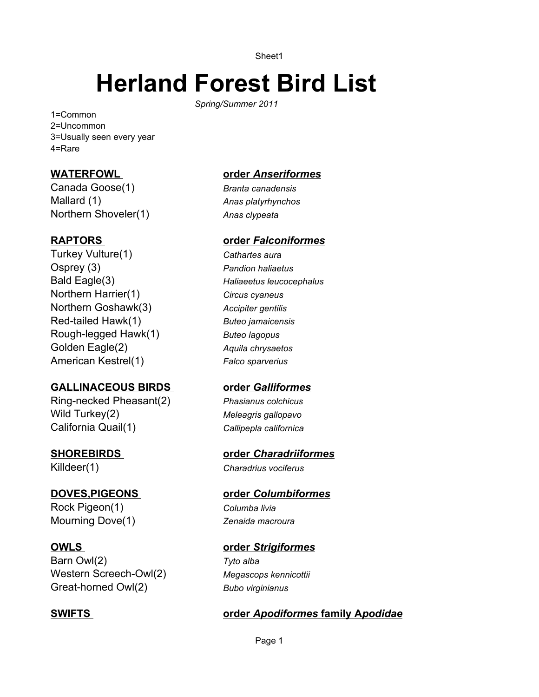Sheet1

# **Herland Forest Bird List**

*Spring/Summer 2011*

1=Common 2=Uncommon 3=Usually seen every year 4=Rare

## **WATERFOWL**

Canada Goose(1) Mallard (1) Northern Shoveler(1)

#### **RAPTORS**

Turkey Vulture(1) Osprey (3) Bald Eagle(3) Northern Harrier(1) Northern Goshawk(3) Red-tailed Hawk(1) Rough-legged Hawk(1) Golden Eagle(2) American Kestrel(1)

#### **GALLINACEOUS BIRDS**

Ring-necked Pheasant(2) Wild Turkey(2) California Quail(1)

# **SHOREBIRDS**

Killdeer(1)

## **DOVES,PIGEONS**

Rock Pigeon(1) Mourning Dove(1)

#### **OWLS**

Barn Owl(2) Western Screech-Owl(2) Great-horned Owl(2)

# **SWIFTS**

#### **order** *Anseriformes*

*Branta canadensis Anas platyrhynchos Anas clypeata*

#### **order** *Falconiformes*

*Cathartes aura Pandion haliaetus Haliaeetus leucocephalus Circus cyaneus Accipiter gentilis Buteo jamaicensis Buteo lagopus Aquila chrysaetos Falco sparverius*

## **order** *Galliformes*

*Phasianus colchicus Meleagris gallopavo Callipepla californica*

#### **order** *Charadriiformes*

*Charadrius vociferus*

#### **order** *Columbiformes*

*Columba livia Zenaida macroura*

# **order** *Strigiformes*

*Tyto alba Megascops kennicottii Bubo virginianus*

# **order** *Apodiformes* **family A***podidae*

Page 1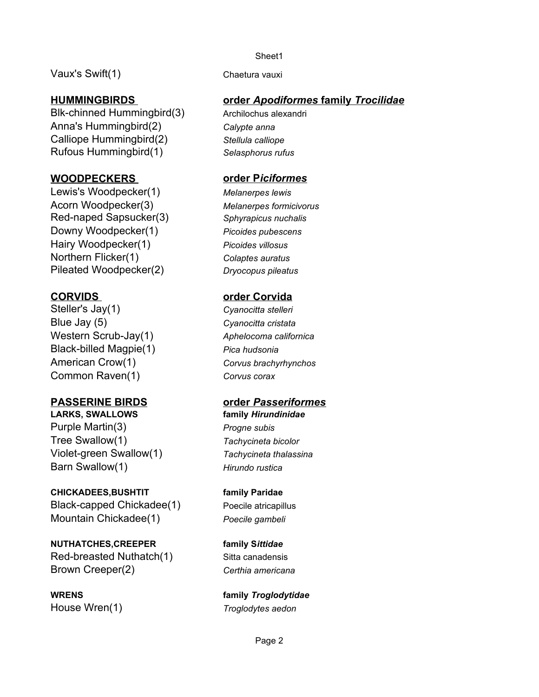Vaux's Swift(1) Chaetura vauxi

## **HUMMINGBIRDS**

Anna's Hummingbird(2) Calliope Hummingbird(2) Blk-chinned Hummingbird(3) Archilochus alexandri Rufous Hummingbird(1) *Selasphorus rufus*

## **WOODPECKERS**

Lewis's Woodpecker(1) Acorn Woodpecker(3) Downy Woodpecker(1) Hairy Woodpecker(1) Northern Flicker(1) Red-naped Sapsucker(3) *Sphyrapicus nuchalis* Pileated Woodpecker(2) *Dryocopus pileatus*

# **CORVIDS**

Blue Jay (5) Western Scrub-Jay(1) Black-billed Magpie(1) American Crow(1) Common Raven(1) Steller's Jay(1) *Cyanocitta stelleri*

# **PASSERINE BIRDS**

**LARKS, SWALLOWS**  Purple Martin(3) Tree Swallow(1) Violet-green Swallow(1) Barn Swallow(1)

# **CHICKADEES,BUSHTIT**

Black-capped Chickadee(1) Mountain Chickadee(1)

**NUTHATCHES,CREEPER**  Red-breasted Nuthatch(1) Brown Creeper(2)

**WRENS**  House Wren(1)

#### Sheet1

## **order** *Apodiformes* **family** *Trocilidae*

*Calypte anna Stellula calliope*

#### **order P***iciformes*

*Melanerpes lewis Melanerpes formicivorus Picoides pubescens Picoides villosus Colaptes auratus*

#### **order Corvida**

*Cyanocitta cristata Aphelocoma californica Pica hudsonia Corvus brachyrhynchos Corvus corax*

#### **order** *Passeriformes*

**family** *Hirundinidae Progne subis Tachycineta bicolor Tachycineta thalassina Hirundo rustica*

**family Paridae** Poecile atricapillus *Poecile gambeli*

**family S***ittidae* Sitta canadensis *Certhia americana*

**family** *Troglodytidae Troglodytes aedon*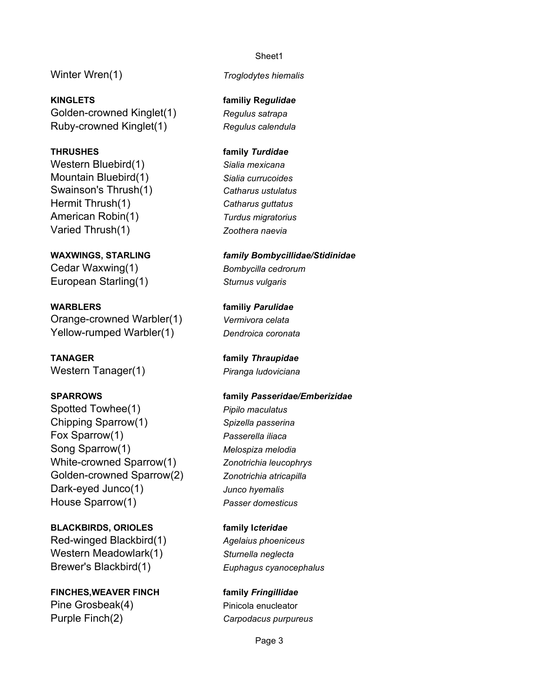Winter Wren(1)

**KINGLETS**  Golden-crowned Kinglet(1) Ruby-crowned Kinglet(1)

#### **THRUSHES**

Western Bluebird(1) Mountain Bluebird(1) Hermit Thrush(1) American Robin(1) Varied Thrush(1) Swainson's Thrush(1) *Catharus ustulatus*

**WAXWINGS, STARLING**  Cedar Waxwing(1) European Starling(1)

**WARBLERS**  Orange-crowned Warbler(1) Yellow-rumped Warbler(1)

**TANAGER**  Western Tanager(1)

#### **SPARROWS**

Spotted Towhee(1) Chipping Sparrow(1) Fox Sparrow(1) Song Sparrow(1) White-crowned Sparrow(1) Golden-crowned Sparrow(2) Dark-eyed Junco(1) House Sparrow(1)

**BLACKBIRDS, ORIOLES**  Red-winged Blackbird(1) Western Meadowlark(1) Brewer's Blackbird(1)

**FINCHES,WEAVER FINCH**  Pine Grosbeak(4) Purple Finch(2)

#### Sheet1

*Troglodytes hiemalis*

**familiy R***egulidae Regulus satrapa Regulus calendula*

**family** *Turdidae Sialia mexicana Sialia currucoides Catharus guttatus Turdus migratorius Zoothera naevia*

*family Bombycillidae/Stidinidae Bombycilla cedrorum Sturnus vulgaris*

**familiy** *Parulidae Vermivora celata Dendroica coronata*

**family** *Thraupidae Piranga ludoviciana*

# **family** *Passeridae/Emberizidae Pipilo maculatus Spizella passerina Passerella iliaca Melospiza melodia Zonotrichia leucophrys Zonotrichia atricapilla*

*Junco hyemalis Passer domesticus*

**family I***cteridae Agelaius phoeniceus Sturnella neglecta*

*Euphagus cyanocephalus*

**family** *Fringillidae* Pinicola enucleator *Carpodacus purpureus*

Page 3